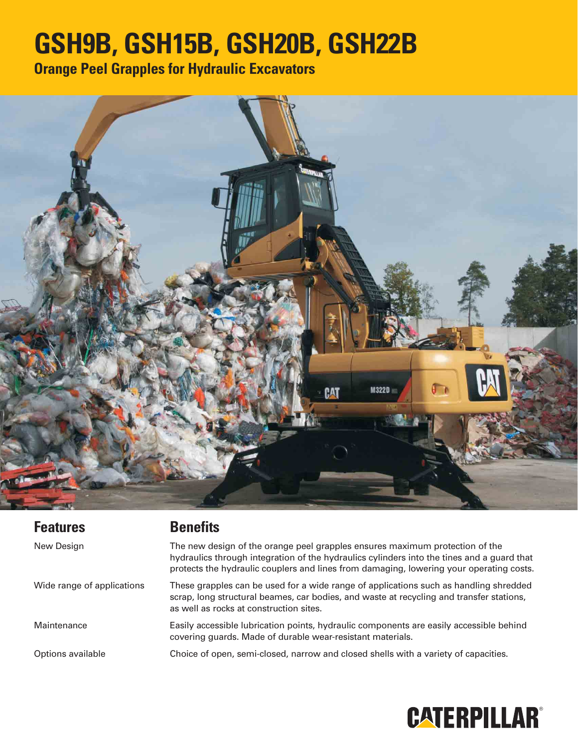# **GSH9B, GSH15B, GSH20B, GSH22B**

**Orange Peel Grapples for Hydraulic Excavators**



| <b>Features</b>            | <b>Benefits</b>                                                                                                                                                                                                                                                       |
|----------------------------|-----------------------------------------------------------------------------------------------------------------------------------------------------------------------------------------------------------------------------------------------------------------------|
| New Design                 | The new design of the orange peel grapples ensures maximum protection of the<br>hydraulics through integration of the hydraulics cylinders into the tines and a guard that<br>protects the hydraulic couplers and lines from damaging, lowering your operating costs. |
| Wide range of applications | These grapples can be used for a wide range of applications such as handling shredded<br>scrap, long structural beames, car bodies, and waste at recycling and transfer stations,<br>as well as rocks at construction sites.                                          |
| Maintenance                | Easily accessible lubrication points, hydraulic components are easily accessible behind<br>covering guards. Made of durable wear-resistant materials.                                                                                                                 |
| Options available          | Choice of open, semi-closed, narrow and closed shells with a variety of capacities.                                                                                                                                                                                   |

## **CATERPILLAR®**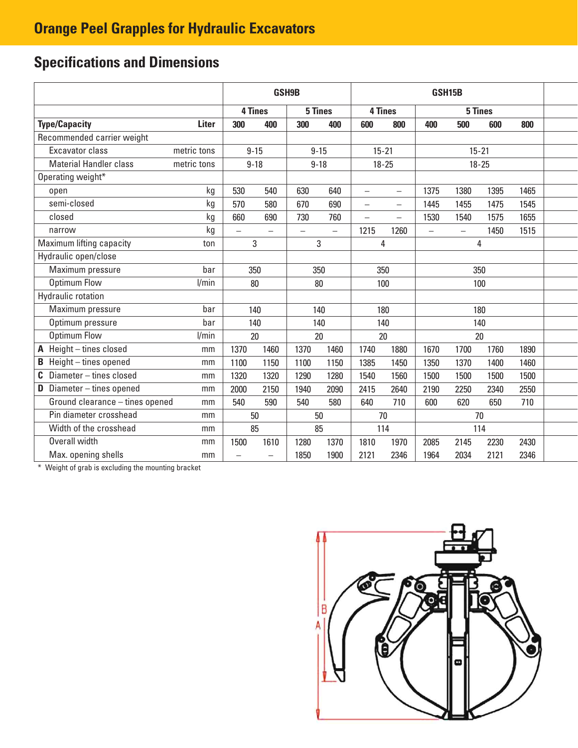## **Specifications and Dimensions**

|                                    |              |                          |          | GSH9B                    |                          | GSH15B                   |                          |           |               |      |      |  |
|------------------------------------|--------------|--------------------------|----------|--------------------------|--------------------------|--------------------------|--------------------------|-----------|---------------|------|------|--|
|                                    |              | 5 Tines<br>4 Tines       |          |                          |                          |                          | 4 Tines                  |           | 5 Tines       |      |      |  |
| <b>Type/Capacity</b>               | <b>Liter</b> | 300                      | 400      | 300                      | 400                      | 600                      | 800                      | 400       | 500           | 600  | 800  |  |
| Recommended carrier weight         |              |                          |          |                          |                          |                          |                          |           |               |      |      |  |
| Excavator class                    | metric tons  |                          | $9 - 15$ | $9 - 15$                 |                          |                          | $15 - 21$                | $15 - 21$ |               |      |      |  |
| <b>Material Handler class</b>      | metric tons  |                          | $9 - 18$ | $9 - 18$                 |                          | $18 - 25$                |                          | $18 - 25$ |               |      |      |  |
| Operating weight*                  |              |                          |          |                          |                          |                          |                          |           |               |      |      |  |
| open                               | kg           | 530                      | 540      | 630                      | 640                      | $\overline{\phantom{0}}$ | $\overline{\phantom{0}}$ | 1375      | 1380          | 1395 | 1465 |  |
| semi-closed                        | kg           | 570                      | 580      | 670                      | 690                      | $\rightarrow$            | $\equiv$                 | 1445      | 1455          | 1475 | 1545 |  |
| closed                             | kg           | 660                      | 690      | 730                      | 760                      | $\qquad \qquad -$        | $\equiv$                 | 1530      | 1540          | 1575 | 1655 |  |
| narrow                             | kg           | $\overline{\phantom{0}}$ |          | $\overline{\phantom{0}}$ | $\overline{\phantom{0}}$ | 1215                     | 1260                     |           | $\rightarrow$ | 1450 | 1515 |  |
| Maximum lifting capacity           | ton          |                          | 3        |                          | 3                        |                          | 4                        |           |               | 4    |      |  |
| Hydraulic open/close               |              |                          |          |                          |                          |                          |                          |           |               |      |      |  |
| Maximum pressure                   | bar          | 350                      |          |                          | 350<br>350               |                          | 350                      |           |               |      |      |  |
| <b>Optimum Flow</b>                | l/min        |                          | 80       |                          | 80                       |                          | 100                      |           |               | 100  |      |  |
| Hydraulic rotation                 |              |                          |          |                          |                          |                          |                          |           |               |      |      |  |
| Maximum pressure                   | bar          |                          | 140      |                          | 140                      |                          | 180                      |           |               | 180  |      |  |
| Optimum pressure                   | bar          |                          | 140      | 140                      |                          | 140                      |                          | 140       |               |      |      |  |
| <b>Optimum Flow</b>                | l/min        |                          | 20       | 20                       |                          | 20                       |                          | 20        |               |      |      |  |
| A Height-tines closed              | mm           | 1370                     | 1460     | 1370                     | 1460                     | 1740                     | 1880                     | 1670      | 1700          | 1760 | 1890 |  |
| Height - tines opened<br>В         | mm           | 1100                     | 1150     | 1100                     | 1150                     | 1385                     | 1450                     | 1350      | 1370          | 1400 | 1460 |  |
| Diameter - tines closed<br>C.      | mm           | 1320                     | 1320     | 1290                     | 1280                     | 1540                     | 1560                     | 1500      | 1500          | 1500 | 1500 |  |
| <b>D</b> Diameter $-$ tines opened | mm           | 2000                     | 2150     | 1940                     | 2090                     | 2415                     | 2640                     | 2190      | 2250          | 2340 | 2550 |  |
| Ground clearance - tines opened    | mm           | 540                      | 590      | 540                      | 580                      | 640                      | 710                      | 600       | 620           | 650  | 710  |  |
| Pin diameter crosshead             | mm           | 50                       |          | 50                       |                          | 70                       |                          | 70        |               |      |      |  |
| Width of the crosshead             | mm           | 85                       |          | 85                       |                          | 114                      |                          | 114       |               |      |      |  |
| Overall width                      | mm           | 1500                     | 1610     | 1280                     | 1370                     | 1810                     | 1970                     | 2085      | 2145          | 2230 | 2430 |  |
| Max. opening shells<br>mm          |              |                          |          | 1850                     | 1900                     | 2121                     | 2346                     | 1964      | 2034          | 2121 | 2346 |  |

\* Weight of grab is excluding the mounting bracket

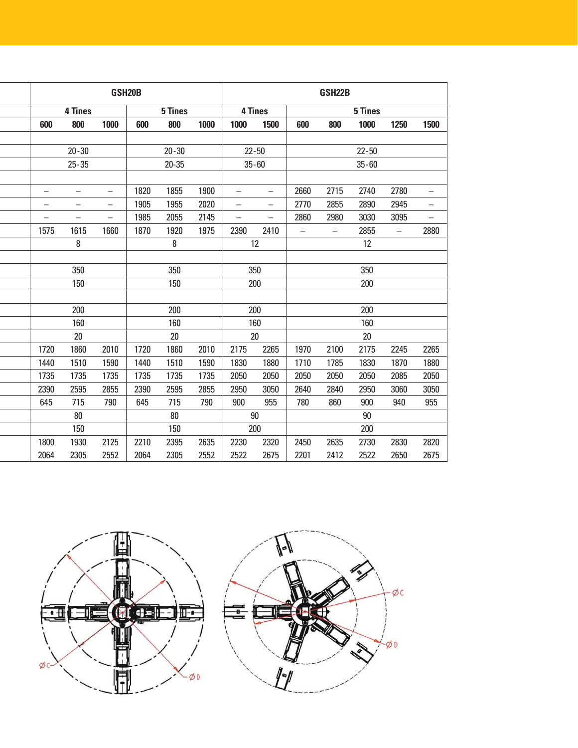| GSH <sub>20</sub> B |                |                          |      |           |      | GSH22B                   |                          |                   |                   |           |                          |                          |
|---------------------|----------------|--------------------------|------|-----------|------|--------------------------|--------------------------|-------------------|-------------------|-----------|--------------------------|--------------------------|
|                     | <b>4 Tines</b> |                          |      | 5 Tines   |      |                          | <b>4 Tines</b>           | 5 Tines           |                   |           |                          |                          |
| 600                 | 800            | 1000                     | 600  | 800       | 1000 | 1000                     | 1500                     | 600               | 800               | 1000      | 1250                     | 1500                     |
|                     |                |                          |      |           |      |                          |                          |                   |                   |           |                          |                          |
|                     | $20 - 30$      |                          |      | $20 - 30$ |      | $22 - 50$                |                          |                   |                   | $22 - 50$ |                          |                          |
|                     | $25 - 35$      |                          |      | $20 - 35$ |      | $35 - 60$                |                          |                   |                   | $35 - 60$ |                          |                          |
|                     |                |                          |      |           |      |                          |                          |                   |                   |           |                          |                          |
| -                   |                |                          | 1820 | 1855      | 1900 | $\overline{\phantom{0}}$ | $\overline{\phantom{0}}$ | 2660              | 2715              | 2740      | 2780                     | $\qquad \qquad -$        |
|                     |                | -                        | 1905 | 1955      | 2020 | $\overline{\phantom{0}}$ | $\overline{\phantom{0}}$ | 2770              | 2855              | 2890      | 2945                     | $\overline{\phantom{0}}$ |
|                     |                | $\overline{\phantom{0}}$ | 1985 | 2055      | 2145 | $\qquad \qquad -$        | $\overline{\phantom{0}}$ | 2860              | 2980              | 3030      | 3095                     | $\equiv$                 |
| 1575                | 1615           | 1660                     | 1870 | 1920      | 1975 | 2390                     | 2410                     | $\qquad \qquad -$ | $\qquad \qquad -$ | 2855      | $\overline{\phantom{m}}$ | 2880                     |
|                     | 8              |                          |      | 8         |      |                          | 12                       |                   |                   | 12        |                          |                          |
|                     |                |                          |      |           |      |                          |                          |                   |                   |           |                          |                          |
|                     | 350            |                          |      | 350       |      |                          | 350                      |                   |                   | 350       |                          |                          |
|                     | 150            |                          |      | 150       |      |                          | 200                      |                   |                   | 200       |                          |                          |
|                     |                |                          |      |           |      |                          |                          |                   |                   |           |                          |                          |
|                     | 200            |                          |      | 200       |      |                          | 200                      |                   |                   | 200       |                          |                          |
|                     | 160            |                          |      | 160       |      | 160                      |                          | 160               |                   |           |                          |                          |
|                     | 20             |                          |      | $20\,$    |      | 20                       |                          |                   |                   | 20        |                          |                          |
| 1720                | 1860           | 2010                     | 1720 | 1860      | 2010 | 2175                     | 2265                     | 1970              | 2100              | 2175      | 2245                     | 2265                     |
| 1440                | 1510           | 1590                     | 1440 | 1510      | 1590 | 1830                     | 1880                     | 1710              | 1785              | 1830      | 1870                     | 1880                     |
| 1735                | 1735           | 1735                     | 1735 | 1735      | 1735 | 2050                     | 2050                     | 2050              | 2050              | 2050      | 2085                     | 2050                     |
| 2390                | 2595           | 2855                     | 2390 | 2595      | 2855 | 2950                     | 3050                     | 2640              | 2840              | 2950      | 3060                     | 3050                     |
| 645                 | 715            | 790                      | 645  | 715       | 790  | 900                      | 955                      | 780               | 860               | 900       | 940                      | 955                      |
|                     | 80             |                          |      | 80        |      | 90                       |                          |                   |                   | 90        |                          |                          |
|                     | 150            |                          |      | 150       |      |                          | 200                      | 200               |                   |           |                          |                          |
| 1800                | 1930           | 2125                     | 2210 | 2395      | 2635 | 2230                     | 2320                     | 2450              | 2635              | 2730      | 2830                     | 2820                     |
| 2064                | 2305           | 2552                     | 2064 | 2305      | 2552 | 2522                     | 2675                     | 2201              | 2412              | 2522      | 2650                     | 2675                     |